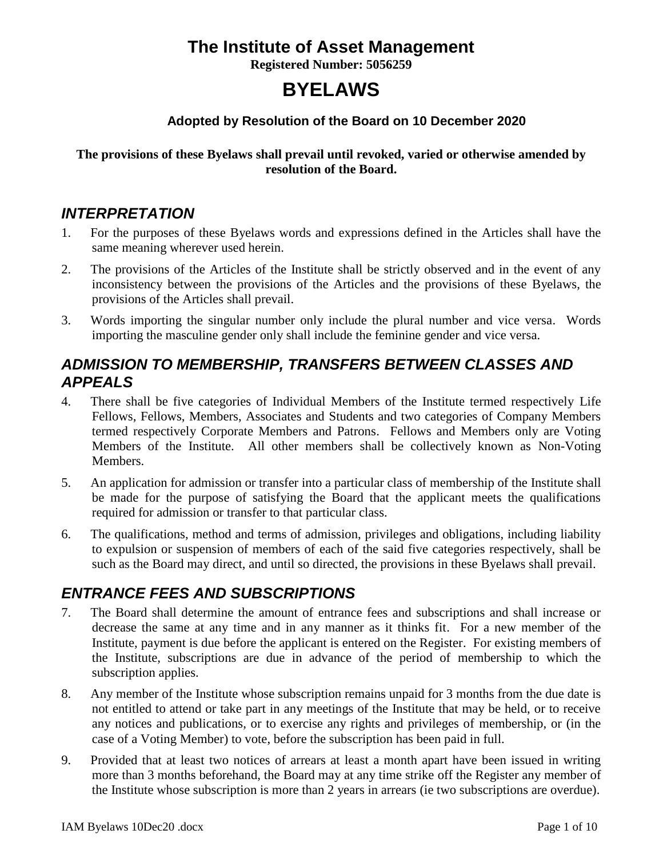# **The Institute of Asset Management**

**Registered Number: 5056259**

# **BYELAWS**

### **Adopted by Resolution of the Board on 10 December 2020**

### **The provisions of these Byelaws shall prevail until revoked, varied or otherwise amended by resolution of the Board.**

### *INTERPRETATION*

- 1. For the purposes of these Byelaws words and expressions defined in the Articles shall have the same meaning wherever used herein.
- 2. The provisions of the Articles of the Institute shall be strictly observed and in the event of any inconsistency between the provisions of the Articles and the provisions of these Byelaws, the provisions of the Articles shall prevail.
- 3. Words importing the singular number only include the plural number and vice versa. Words importing the masculine gender only shall include the feminine gender and vice versa.

# *ADMISSION TO MEMBERSHIP, TRANSFERS BETWEEN CLASSES AND APPEALS*

- 4. There shall be five categories of Individual Members of the Institute termed respectively Life Fellows, Fellows, Members, Associates and Students and two categories of Company Members termed respectively Corporate Members and Patrons. Fellows and Members only are Voting Members of the Institute. All other members shall be collectively known as Non-Voting Members.
- 5. An application for admission or transfer into a particular class of membership of the Institute shall be made for the purpose of satisfying the Board that the applicant meets the qualifications required for admission or transfer to that particular class.
- 6. The qualifications, method and terms of admission, privileges and obligations, including liability to expulsion or suspension of members of each of the said five categories respectively, shall be such as the Board may direct, and until so directed, the provisions in these Byelaws shall prevail.

# *ENTRANCE FEES AND SUBSCRIPTIONS*

- 7. The Board shall determine the amount of entrance fees and subscriptions and shall increase or decrease the same at any time and in any manner as it thinks fit. For a new member of the Institute, payment is due before the applicant is entered on the Register. For existing members of the Institute, subscriptions are due in advance of the period of membership to which the subscription applies.
- 8. Any member of the Institute whose subscription remains unpaid for 3 months from the due date is not entitled to attend or take part in any meetings of the Institute that may be held, or to receive any notices and publications, or to exercise any rights and privileges of membership, or (in the case of a Voting Member) to vote, before the subscription has been paid in full.
- 9. Provided that at least two notices of arrears at least a month apart have been issued in writing more than 3 months beforehand, the Board may at any time strike off the Register any member of the Institute whose subscription is more than 2 years in arrears (ie two subscriptions are overdue).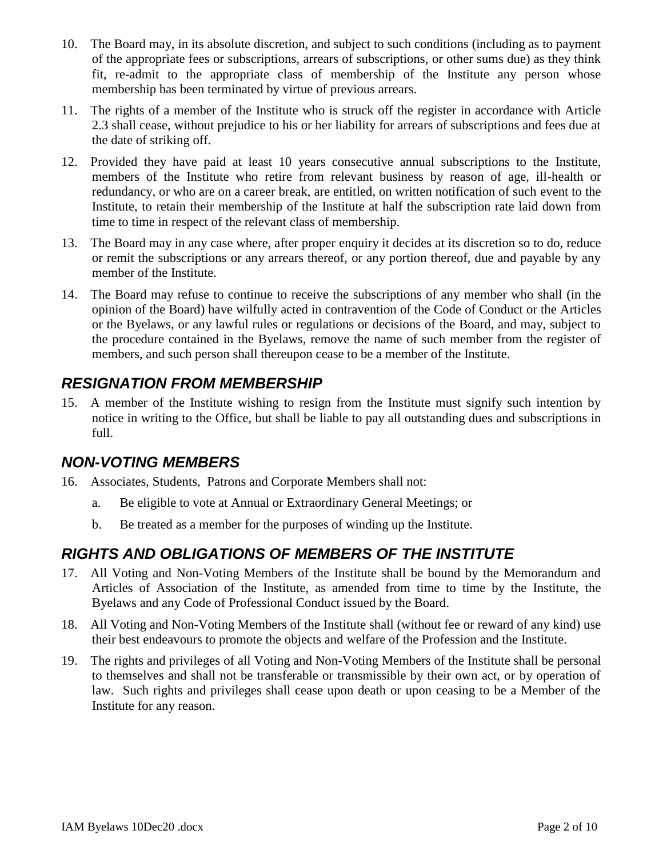- 10. The Board may, in its absolute discretion, and subject to such conditions (including as to payment of the appropriate fees or subscriptions, arrears of subscriptions, or other sums due) as they think fit, re-admit to the appropriate class of membership of the Institute any person whose membership has been terminated by virtue of previous arrears.
- 11. The rights of a member of the Institute who is struck off the register in accordance with Article 2.3 shall cease, without prejudice to his or her liability for arrears of subscriptions and fees due at the date of striking off.
- 12. Provided they have paid at least 10 years consecutive annual subscriptions to the Institute, members of the Institute who retire from relevant business by reason of age, ill-health or redundancy, or who are on a career break, are entitled, on written notification of such event to the Institute, to retain their membership of the Institute at half the subscription rate laid down from time to time in respect of the relevant class of membership.
- 13. The Board may in any case where, after proper enquiry it decides at its discretion so to do, reduce or remit the subscriptions or any arrears thereof, or any portion thereof, due and payable by any member of the Institute.
- 14. The Board may refuse to continue to receive the subscriptions of any member who shall (in the opinion of the Board) have wilfully acted in contravention of the Code of Conduct or the Articles or the Byelaws, or any lawful rules or regulations or decisions of the Board, and may, subject to the procedure contained in the Byelaws, remove the name of such member from the register of members, and such person shall thereupon cease to be a member of the Institute.

### *RESIGNATION FROM MEMBERSHIP*

15. A member of the Institute wishing to resign from the Institute must signify such intention by notice in writing to the Office, but shall be liable to pay all outstanding dues and subscriptions in full.

### *NON-VOTING MEMBERS*

- 16. Associates, Students, Patrons and Corporate Members shall not:
	- a. Be eligible to vote at Annual or Extraordinary General Meetings; or
	- b. Be treated as a member for the purposes of winding up the Institute.

# *RIGHTS AND OBLIGATIONS OF MEMBERS OF THE INSTITUTE*

- 17. All Voting and Non-Voting Members of the Institute shall be bound by the Memorandum and Articles of Association of the Institute, as amended from time to time by the Institute, the Byelaws and any Code of Professional Conduct issued by the Board.
- 18. All Voting and Non-Voting Members of the Institute shall (without fee or reward of any kind) use their best endeavours to promote the objects and welfare of the Profession and the Institute.
- 19. The rights and privileges of all Voting and Non-Voting Members of the Institute shall be personal to themselves and shall not be transferable or transmissible by their own act, or by operation of law. Such rights and privileges shall cease upon death or upon ceasing to be a Member of the Institute for any reason.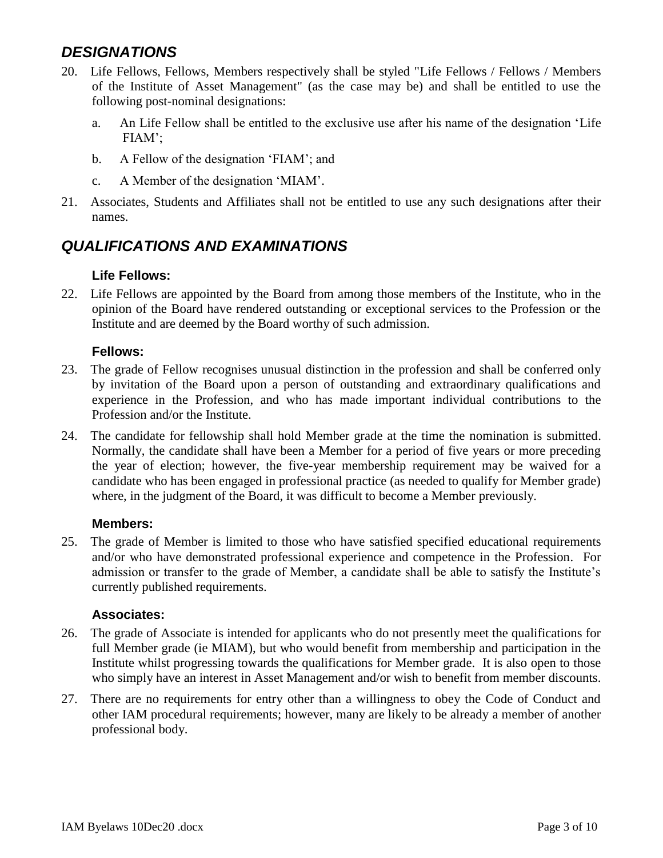### *DESIGNATIONS*

- 20. Life Fellows, Fellows, Members respectively shall be styled "Life Fellows / Fellows / Members of the Institute of Asset Management" (as the case may be) and shall be entitled to use the following post-nominal designations:
	- a. An Life Fellow shall be entitled to the exclusive use after his name of the designation 'Life FIAM';
	- b. A Fellow of the designation 'FIAM'; and
	- c. A Member of the designation 'MIAM'.
- 21. Associates, Students and Affiliates shall not be entitled to use any such designations after their names.

# *QUALIFICATIONS AND EXAMINATIONS*

### **Life Fellows:**

22. Life Fellows are appointed by the Board from among those members of the Institute, who in the opinion of the Board have rendered outstanding or exceptional services to the Profession or the Institute and are deemed by the Board worthy of such admission.

#### **Fellows:**

- 23. The grade of Fellow recognises unusual distinction in the profession and shall be conferred only by invitation of the Board upon a person of outstanding and extraordinary qualifications and experience in the Profession, and who has made important individual contributions to the Profession and/or the Institute.
- 24. The candidate for fellowship shall hold Member grade at the time the nomination is submitted. Normally, the candidate shall have been a Member for a period of five years or more preceding the year of election; however, the five-year membership requirement may be waived for a candidate who has been engaged in professional practice (as needed to qualify for Member grade) where, in the judgment of the Board, it was difficult to become a Member previously.

#### **Members:**

25. The grade of Member is limited to those who have satisfied specified educational requirements and/or who have demonstrated professional experience and competence in the Profession. For admission or transfer to the grade of Member, a candidate shall be able to satisfy the Institute's currently published requirements.

#### **Associates:**

- 26. The grade of Associate is intended for applicants who do not presently meet the qualifications for full Member grade (ie MIAM), but who would benefit from membership and participation in the Institute whilst progressing towards the qualifications for Member grade. It is also open to those who simply have an interest in Asset Management and/or wish to benefit from member discounts.
- 27. There are no requirements for entry other than a willingness to obey the Code of Conduct and other IAM procedural requirements; however, many are likely to be already a member of another professional body.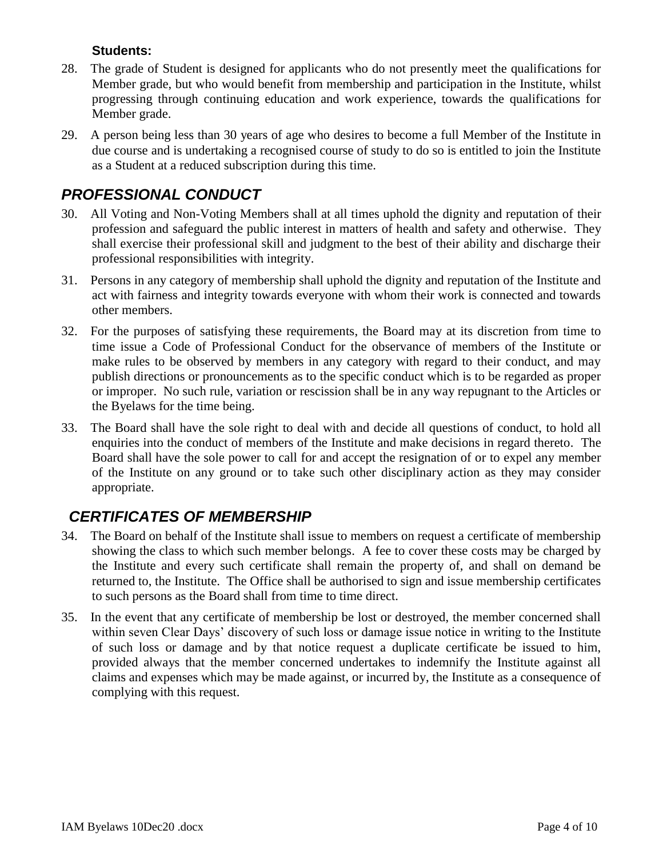#### **Students:**

- 28. The grade of Student is designed for applicants who do not presently meet the qualifications for Member grade, but who would benefit from membership and participation in the Institute, whilst progressing through continuing education and work experience, towards the qualifications for Member grade.
- 29. A person being less than 30 years of age who desires to become a full Member of the Institute in due course and is undertaking a recognised course of study to do so is entitled to join the Institute as a Student at a reduced subscription during this time.

# *PROFESSIONAL CONDUCT*

- 30. All Voting and Non-Voting Members shall at all times uphold the dignity and reputation of their profession and safeguard the public interest in matters of health and safety and otherwise. They shall exercise their professional skill and judgment to the best of their ability and discharge their professional responsibilities with integrity.
- 31. Persons in any category of membership shall uphold the dignity and reputation of the Institute and act with fairness and integrity towards everyone with whom their work is connected and towards other members.
- 32. For the purposes of satisfying these requirements, the Board may at its discretion from time to time issue a Code of Professional Conduct for the observance of members of the Institute or make rules to be observed by members in any category with regard to their conduct, and may publish directions or pronouncements as to the specific conduct which is to be regarded as proper or improper. No such rule, variation or rescission shall be in any way repugnant to the Articles or the Byelaws for the time being.
- 33. The Board shall have the sole right to deal with and decide all questions of conduct, to hold all enquiries into the conduct of members of the Institute and make decisions in regard thereto. The Board shall have the sole power to call for and accept the resignation of or to expel any member of the Institute on any ground or to take such other disciplinary action as they may consider appropriate.

# *CERTIFICATES OF MEMBERSHIP*

- 34. The Board on behalf of the Institute shall issue to members on request a certificate of membership showing the class to which such member belongs. A fee to cover these costs may be charged by the Institute and every such certificate shall remain the property of, and shall on demand be returned to, the Institute. The Office shall be authorised to sign and issue membership certificates to such persons as the Board shall from time to time direct.
- 35. In the event that any certificate of membership be lost or destroyed, the member concerned shall within seven Clear Days' discovery of such loss or damage issue notice in writing to the Institute of such loss or damage and by that notice request a duplicate certificate be issued to him, provided always that the member concerned undertakes to indemnify the Institute against all claims and expenses which may be made against, or incurred by, the Institute as a consequence of complying with this request.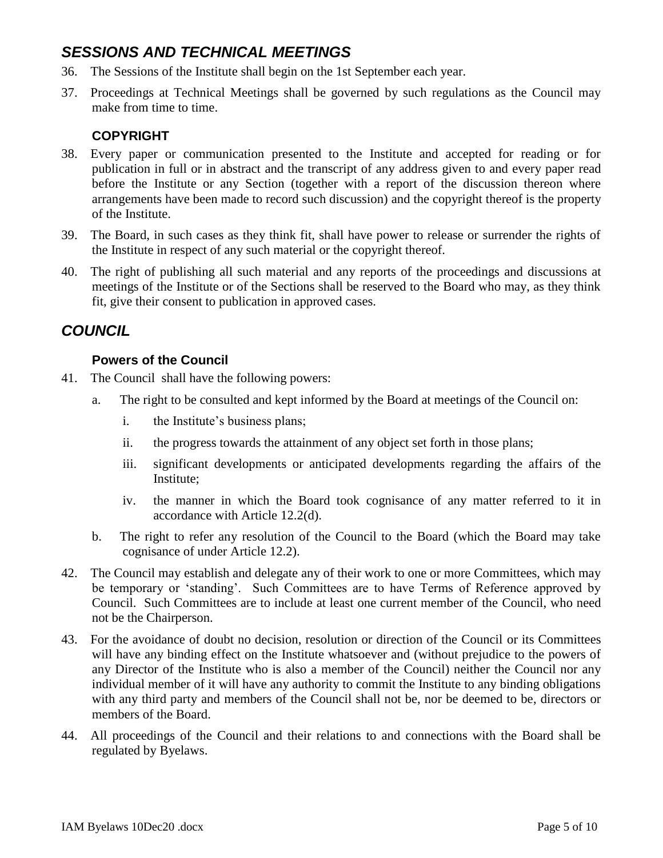# *SESSIONS AND TECHNICAL MEETINGS*

- 36. The Sessions of the Institute shall begin on the 1st September each year.
- 37. Proceedings at Technical Meetings shall be governed by such regulations as the Council may make from time to time.

### **COPYRIGHT**

- 38. Every paper or communication presented to the Institute and accepted for reading or for publication in full or in abstract and the transcript of any address given to and every paper read before the Institute or any Section (together with a report of the discussion thereon where arrangements have been made to record such discussion) and the copyright thereof is the property of the Institute.
- 39. The Board, in such cases as they think fit, shall have power to release or surrender the rights of the Institute in respect of any such material or the copyright thereof.
- 40. The right of publishing all such material and any reports of the proceedings and discussions at meetings of the Institute or of the Sections shall be reserved to the Board who may, as they think fit, give their consent to publication in approved cases.

### *COUNCIL*

#### **Powers of the Council**

- 41. The Council shall have the following powers:
	- a. The right to be consulted and kept informed by the Board at meetings of the Council on:
		- i. the Institute's business plans;
		- ii. the progress towards the attainment of any object set forth in those plans;
		- iii. significant developments or anticipated developments regarding the affairs of the Institute;
		- iv. the manner in which the Board took cognisance of any matter referred to it in accordance with Article 12.2(d).
	- b. The right to refer any resolution of the Council to the Board (which the Board may take cognisance of under Article 12.2).
- 42. The Council may establish and delegate any of their work to one or more Committees, which may be temporary or 'standing'. Such Committees are to have Terms of Reference approved by Council. Such Committees are to include at least one current member of the Council, who need not be the Chairperson.
- 43. For the avoidance of doubt no decision, resolution or direction of the Council or its Committees will have any binding effect on the Institute whatsoever and (without prejudice to the powers of any Director of the Institute who is also a member of the Council) neither the Council nor any individual member of it will have any authority to commit the Institute to any binding obligations with any third party and members of the Council shall not be, nor be deemed to be, directors or members of the Board.
- 44. All proceedings of the Council and their relations to and connections with the Board shall be regulated by Byelaws.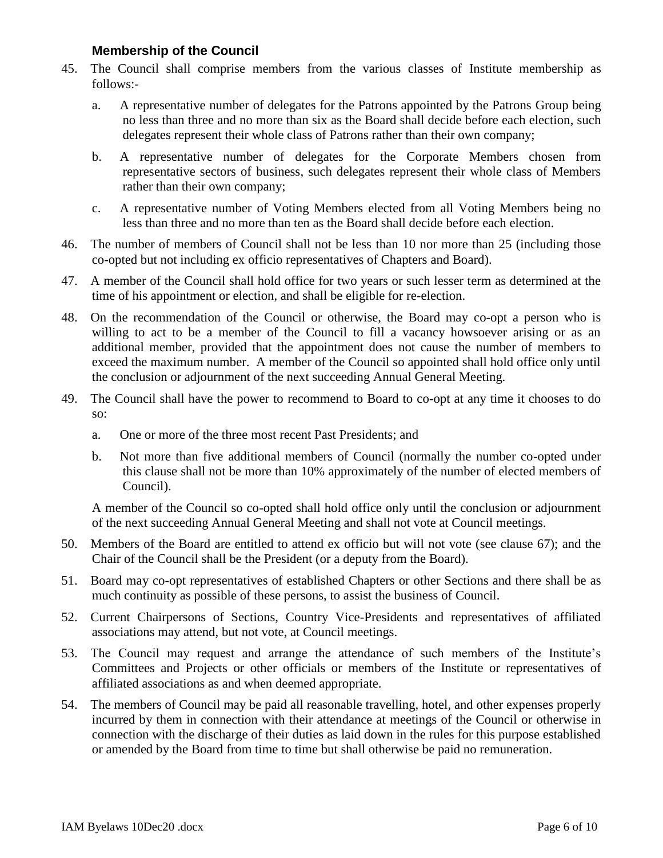#### **Membership of the Council**

- 45. The Council shall comprise members from the various classes of Institute membership as follows:
	- a. A representative number of delegates for the Patrons appointed by the Patrons Group being no less than three and no more than six as the Board shall decide before each election, such delegates represent their whole class of Patrons rather than their own company;
	- b. A representative number of delegates for the Corporate Members chosen from representative sectors of business, such delegates represent their whole class of Members rather than their own company;
	- c. A representative number of Voting Members elected from all Voting Members being no less than three and no more than ten as the Board shall decide before each election.
- 46. The number of members of Council shall not be less than 10 nor more than 25 (including those co-opted but not including ex officio representatives of Chapters and Board).
- 47. A member of the Council shall hold office for two years or such lesser term as determined at the time of his appointment or election, and shall be eligible for re-election.
- 48. On the recommendation of the Council or otherwise, the Board may co-opt a person who is willing to act to be a member of the Council to fill a vacancy howsoever arising or as an additional member, provided that the appointment does not cause the number of members to exceed the maximum number. A member of the Council so appointed shall hold office only until the conclusion or adjournment of the next succeeding Annual General Meeting.
- 49. The Council shall have the power to recommend to Board to co-opt at any time it chooses to do so:
	- a. One or more of the three most recent Past Presidents; and
	- b. Not more than five additional members of Council (normally the number co-opted under this clause shall not be more than 10% approximately of the number of elected members of Council).

A member of the Council so co-opted shall hold office only until the conclusion or adjournment of the next succeeding Annual General Meeting and shall not vote at Council meetings.

- 50. Members of the Board are entitled to attend ex officio but will not vote (see clause 67); and the Chair of the Council shall be the President (or a deputy from the Board).
- 51. Board may co-opt representatives of established Chapters or other Sections and there shall be as much continuity as possible of these persons, to assist the business of Council.
- 52. Current Chairpersons of Sections, Country Vice-Presidents and representatives of affiliated associations may attend, but not vote, at Council meetings.
- 53. The Council may request and arrange the attendance of such members of the Institute's Committees and Projects or other officials or members of the Institute or representatives of affiliated associations as and when deemed appropriate.
- 54. The members of Council may be paid all reasonable travelling, hotel, and other expenses properly incurred by them in connection with their attendance at meetings of the Council or otherwise in connection with the discharge of their duties as laid down in the rules for this purpose established or amended by the Board from time to time but shall otherwise be paid no remuneration.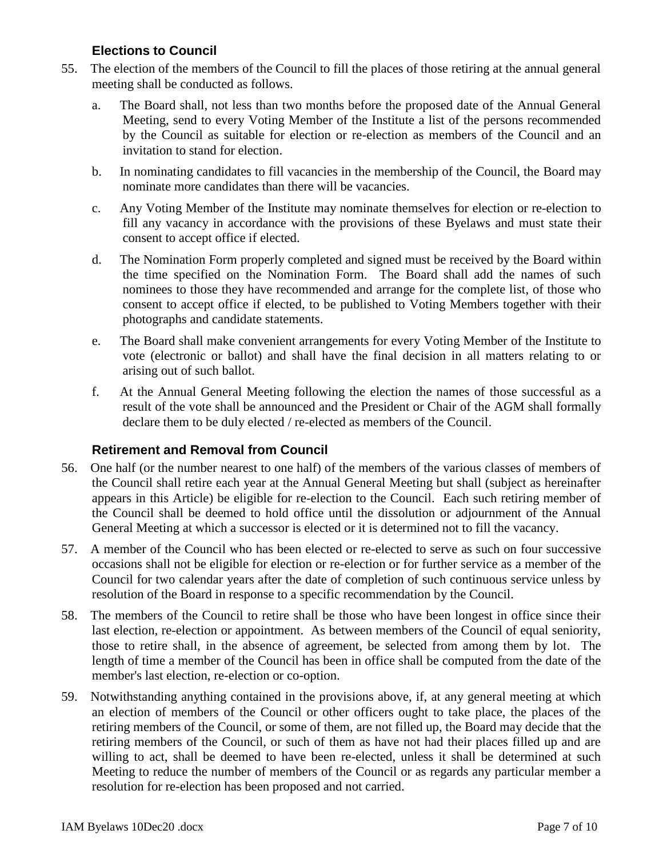### **Elections to Council**

- 55. The election of the members of the Council to fill the places of those retiring at the annual general meeting shall be conducted as follows.
	- a. The Board shall, not less than two months before the proposed date of the Annual General Meeting, send to every Voting Member of the Institute a list of the persons recommended by the Council as suitable for election or re-election as members of the Council and an invitation to stand for election.
	- b. In nominating candidates to fill vacancies in the membership of the Council, the Board may nominate more candidates than there will be vacancies.
	- c. Any Voting Member of the Institute may nominate themselves for election or re-election to fill any vacancy in accordance with the provisions of these Byelaws and must state their consent to accept office if elected.
	- d. The Nomination Form properly completed and signed must be received by the Board within the time specified on the Nomination Form. The Board shall add the names of such nominees to those they have recommended and arrange for the complete list, of those who consent to accept office if elected, to be published to Voting Members together with their photographs and candidate statements.
	- e. The Board shall make convenient arrangements for every Voting Member of the Institute to vote (electronic or ballot) and shall have the final decision in all matters relating to or arising out of such ballot.
	- f. At the Annual General Meeting following the election the names of those successful as a result of the vote shall be announced and the President or Chair of the AGM shall formally declare them to be duly elected / re-elected as members of the Council.

#### **Retirement and Removal from Council**

- 56. One half (or the number nearest to one half) of the members of the various classes of members of the Council shall retire each year at the Annual General Meeting but shall (subject as hereinafter appears in this Article) be eligible for re-election to the Council. Each such retiring member of the Council shall be deemed to hold office until the dissolution or adjournment of the Annual General Meeting at which a successor is elected or it is determined not to fill the vacancy.
- 57. A member of the Council who has been elected or re-elected to serve as such on four successive occasions shall not be eligible for election or re-election or for further service as a member of the Council for two calendar years after the date of completion of such continuous service unless by resolution of the Board in response to a specific recommendation by the Council.
- 58. The members of the Council to retire shall be those who have been longest in office since their last election, re-election or appointment. As between members of the Council of equal seniority, those to retire shall, in the absence of agreement, be selected from among them by lot. The length of time a member of the Council has been in office shall be computed from the date of the member's last election, re-election or co-option.
- 59. Notwithstanding anything contained in the provisions above, if, at any general meeting at which an election of members of the Council or other officers ought to take place, the places of the retiring members of the Council, or some of them, are not filled up, the Board may decide that the retiring members of the Council, or such of them as have not had their places filled up and are willing to act, shall be deemed to have been re-elected, unless it shall be determined at such Meeting to reduce the number of members of the Council or as regards any particular member a resolution for re-election has been proposed and not carried.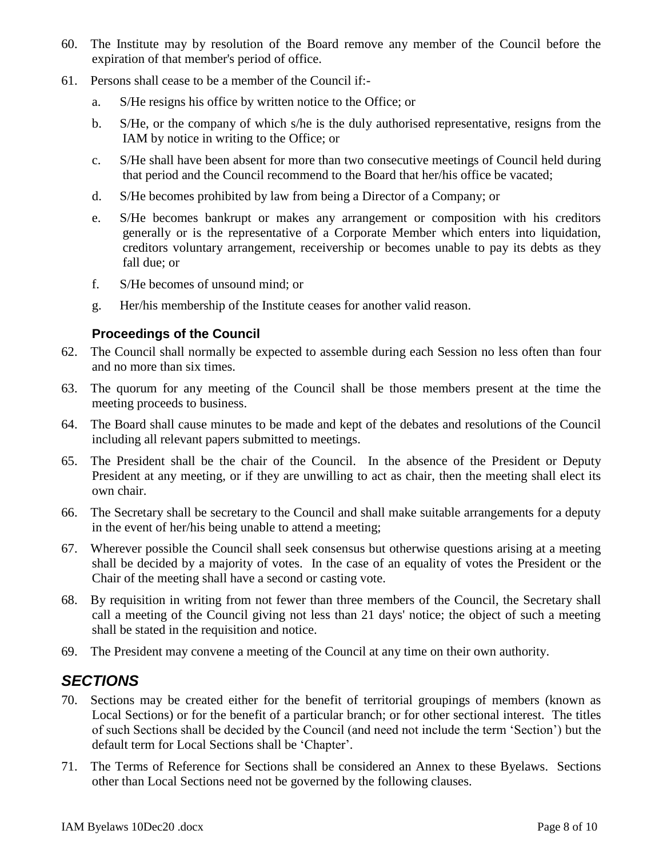- 60. The Institute may by resolution of the Board remove any member of the Council before the expiration of that member's period of office.
- 61. Persons shall cease to be a member of the Council if:
	- a. S/He resigns his office by written notice to the Office; or
	- b. S/He, or the company of which s/he is the duly authorised representative, resigns from the IAM by notice in writing to the Office; or
	- c. S/He shall have been absent for more than two consecutive meetings of Council held during that period and the Council recommend to the Board that her/his office be vacated;
	- d. S/He becomes prohibited by law from being a Director of a Company; or
	- e. S/He becomes bankrupt or makes any arrangement or composition with his creditors generally or is the representative of a Corporate Member which enters into liquidation, creditors voluntary arrangement, receivership or becomes unable to pay its debts as they fall due; or
	- f. S/He becomes of unsound mind; or
	- g. Her/his membership of the Institute ceases for another valid reason.

#### **Proceedings of the Council**

- 62. The Council shall normally be expected to assemble during each Session no less often than four and no more than six times.
- 63. The quorum for any meeting of the Council shall be those members present at the time the meeting proceeds to business.
- 64. The Board shall cause minutes to be made and kept of the debates and resolutions of the Council including all relevant papers submitted to meetings.
- 65. The President shall be the chair of the Council. In the absence of the President or Deputy President at any meeting, or if they are unwilling to act as chair, then the meeting shall elect its own chair.
- 66. The Secretary shall be secretary to the Council and shall make suitable arrangements for a deputy in the event of her/his being unable to attend a meeting;
- 67. Wherever possible the Council shall seek consensus but otherwise questions arising at a meeting shall be decided by a majority of votes. In the case of an equality of votes the President or the Chair of the meeting shall have a second or casting vote.
- 68. By requisition in writing from not fewer than three members of the Council, the Secretary shall call a meeting of the Council giving not less than 21 days' notice; the object of such a meeting shall be stated in the requisition and notice.
- 69. The President may convene a meeting of the Council at any time on their own authority.

### *SECTIONS*

- 70. Sections may be created either for the benefit of territorial groupings of members (known as Local Sections) or for the benefit of a particular branch; or for other sectional interest. The titles of such Sections shall be decided by the Council (and need not include the term 'Section') but the default term for Local Sections shall be 'Chapter'.
- 71. The Terms of Reference for Sections shall be considered an Annex to these Byelaws. Sections other than Local Sections need not be governed by the following clauses.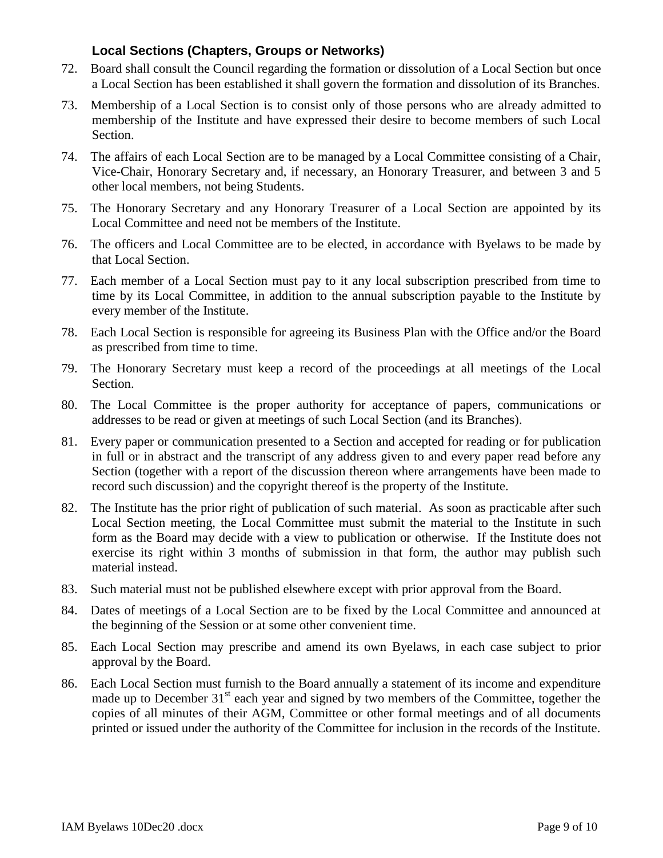### **Local Sections (Chapters, Groups or Networks)**

- 72. Board shall consult the Council regarding the formation or dissolution of a Local Section but once a Local Section has been established it shall govern the formation and dissolution of its Branches.
- 73. Membership of a Local Section is to consist only of those persons who are already admitted to membership of the Institute and have expressed their desire to become members of such Local Section.
- 74. The affairs of each Local Section are to be managed by a Local Committee consisting of a Chair, Vice-Chair, Honorary Secretary and, if necessary, an Honorary Treasurer, and between 3 and 5 other local members, not being Students.
- 75. The Honorary Secretary and any Honorary Treasurer of a Local Section are appointed by its Local Committee and need not be members of the Institute.
- 76. The officers and Local Committee are to be elected, in accordance with Byelaws to be made by that Local Section.
- 77. Each member of a Local Section must pay to it any local subscription prescribed from time to time by its Local Committee, in addition to the annual subscription payable to the Institute by every member of the Institute.
- 78. Each Local Section is responsible for agreeing its Business Plan with the Office and/or the Board as prescribed from time to time.
- 79. The Honorary Secretary must keep a record of the proceedings at all meetings of the Local Section.
- 80. The Local Committee is the proper authority for acceptance of papers, communications or addresses to be read or given at meetings of such Local Section (and its Branches).
- 81. Every paper or communication presented to a Section and accepted for reading or for publication in full or in abstract and the transcript of any address given to and every paper read before any Section (together with a report of the discussion thereon where arrangements have been made to record such discussion) and the copyright thereof is the property of the Institute.
- 82. The Institute has the prior right of publication of such material. As soon as practicable after such Local Section meeting, the Local Committee must submit the material to the Institute in such form as the Board may decide with a view to publication or otherwise. If the Institute does not exercise its right within 3 months of submission in that form, the author may publish such material instead.
- 83. Such material must not be published elsewhere except with prior approval from the Board.
- 84. Dates of meetings of a Local Section are to be fixed by the Local Committee and announced at the beginning of the Session or at some other convenient time.
- 85. Each Local Section may prescribe and amend its own Byelaws, in each case subject to prior approval by the Board.
- 86. Each Local Section must furnish to the Board annually a statement of its income and expenditure made up to December  $31<sup>st</sup>$  each year and signed by two members of the Committee, together the copies of all minutes of their AGM, Committee or other formal meetings and of all documents printed or issued under the authority of the Committee for inclusion in the records of the Institute.